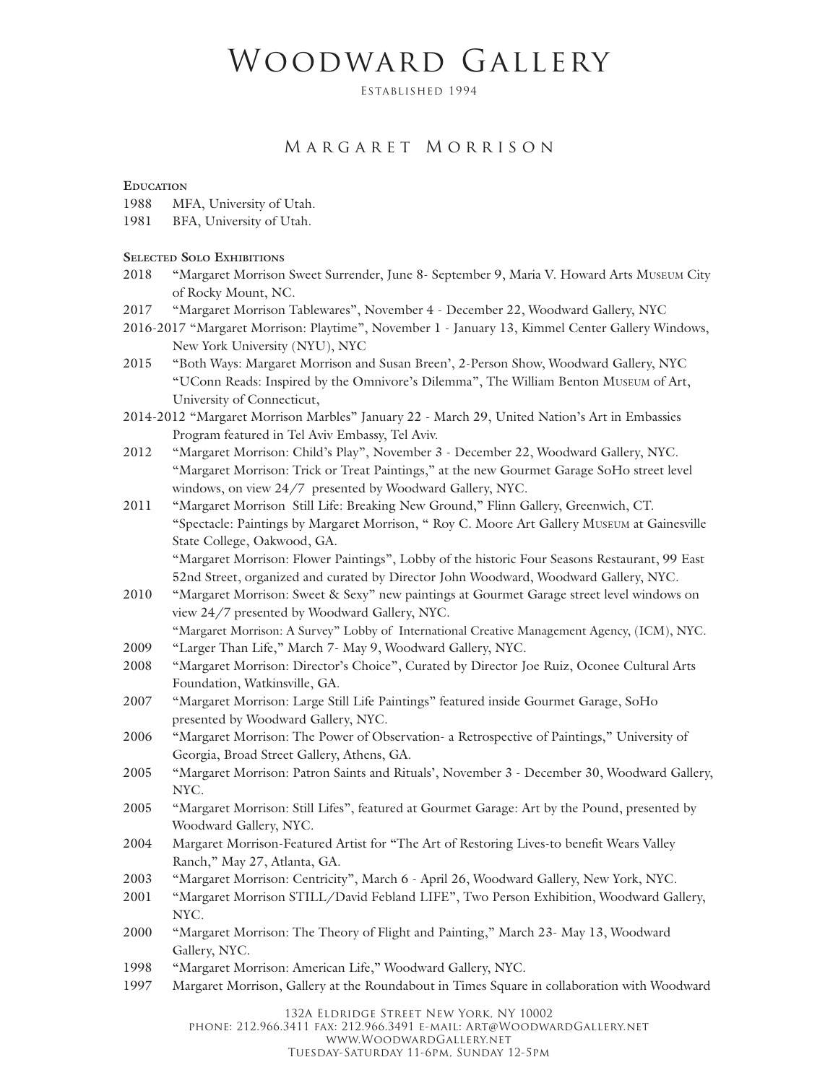# Woodward Gallery

Established 1994

## Margaret Morrison

#### **Education**

- 1988 MFA, University of Utah.
- 1981 BFA, University of Utah.

#### **Selected Solo Exhibitions**

- 2018 "Margaret Morrison Sweet Surrender, June 8- September 9, Maria V. Howard Arts Museum City of Rocky Mount, NC.
- 2017 "Margaret Morrison Tablewares", November 4 December 22, Woodward Gallery, NYC
- 2016-2017 "Margaret Morrison: Playtime", November 1 January 13, Kimmel Center Gallery Windows, New York University (NYU), NYC
- 2015 "Both Ways: Margaret Morrison and Susan Breen', 2-Person Show, Woodward Gallery, NYC "UConn Reads: Inspired by the Omnivore's Dilemma", The William Benton Museum of Art, University of Connecticut,
- 2014-2012 "Margaret Morrison Marbles" January 22 March 29, United Nation's Art in Embassies Program featured in Tel Aviv Embassy, Tel Aviv.
- 2012 "Margaret Morrison: Child's Play", November 3 December 22, Woodward Gallery, NYC. "Margaret Morrison: Trick or Treat Paintings," at the new Gourmet Garage SoHo street level windows, on view 24/7 presented by Woodward Gallery, NYC.
- 2011 "Margaret Morrison Still Life: Breaking New Ground," Flinn Gallery, Greenwich, CT. "Spectacle: Paintings by Margaret Morrison, " Roy C. Moore Art Gallery Museum at Gainesville State College, Oakwood, GA.

"Margaret Morrison: Flower Paintings", Lobby of the historic Four Seasons Restaurant, 99 East 52nd Street, organized and curated by Director John Woodward, Woodward Gallery, NYC.

2010 "Margaret Morrison: Sweet & Sexy" new paintings at Gourmet Garage street level windows on view 24/7 presented by Woodward Gallery, NYC.

"Margaret Morrison: A Survey" Lobby of International Creative Management Agency, (ICM), NYC. 2009 "Larger Than Life," March 7- May 9, Woodward Gallery, NYC.

- 2008 "Margaret Morrison: Director's Choice", Curated by Director Joe Ruiz, Oconee Cultural Arts Foundation, Watkinsville, GA.
- 2007 "Margaret Morrison: Large Still Life Paintings" featured inside Gourmet Garage, SoHo presented by Woodward Gallery, NYC.
- 2006 "Margaret Morrison: The Power of Observation- a Retrospective of Paintings," University of Georgia, Broad Street Gallery, Athens, GA.
- 2005 "Margaret Morrison: Patron Saints and Rituals', November 3 December 30, Woodward Gallery, NYC.
- 2005 "Margaret Morrison: Still Lifes", featured at Gourmet Garage: Art by the Pound, presented by Woodward Gallery, NYC.
- 2004 Margaret Morrison-Featured Artist for "The Art of Restoring Lives-to benefit Wears Valley Ranch," May 27, Atlanta, GA.
- 2003 "Margaret Morrison: Centricity", March 6 April 26, Woodward Gallery, New York, NYC.
- 2001 "Margaret Morrison STILL/David Febland LIFE", Two Person Exhibition, Woodward Gallery, NYC.
- 2000 "Margaret Morrison: The Theory of Flight and Painting," March 23- May 13, Woodward Gallery, NYC.
- 1998 "Margaret Morrison: American Life," Woodward Gallery, NYC.
- 1997 Margaret Morrison, Gallery at the Roundabout in Times Square in collaboration with Woodward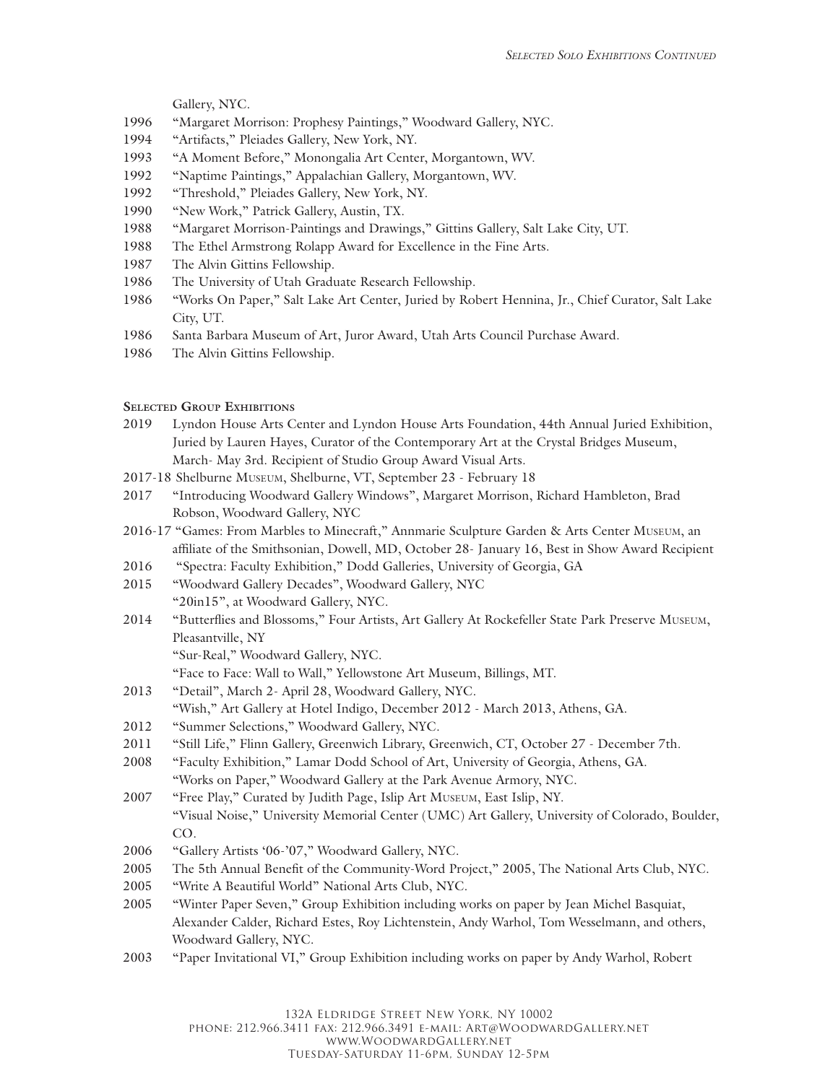Gallery, NYC.

- 1996 "Margaret Morrison: Prophesy Paintings," Woodward Gallery, NYC.
- 1994 "Artifacts," Pleiades Gallery, New York, NY.
- 1993 "A Moment Before," Monongalia Art Center, Morgantown, WV.
- 1992 "Naptime Paintings," Appalachian Gallery, Morgantown, WV.
- 1992 "Threshold," Pleiades Gallery, New York, NY.
- 1990 "New Work," Patrick Gallery, Austin, TX.
- 1988 "Margaret Morrison-Paintings and Drawings," Gittins Gallery, Salt Lake City, UT.
- 1988 The Ethel Armstrong Rolapp Award for Excellence in the Fine Arts.
- 1987 The Alvin Gittins Fellowship.
- 1986 The University of Utah Graduate Research Fellowship.
- 1986 "Works On Paper," Salt Lake Art Center, Juried by Robert Hennina, Jr., Chief Curator, Salt Lake City, UT.
- 1986 Santa Barbara Museum of Art, Juror Award, Utah Arts Council Purchase Award.
- 1986 The Alvin Gittins Fellowship.

#### **Selected Group Exhibitions**

- 2019 Lyndon House Arts Center and Lyndon House Arts Foundation, 44th Annual Juried Exhibition, Juried by Lauren Hayes, Curator of the Contemporary Art at the Crystal Bridges Museum, March- May 3rd. Recipient of Studio Group Award Visual Arts.
- 2017-18 Shelburne Museum, Shelburne, VT, September 23 February 18
- 2017 "Introducing Woodward Gallery Windows", Margaret Morrison, Richard Hambleton, Brad Robson, Woodward Gallery, NYC
- 2016-17 "Games: From Marbles to Minecraft," Annmarie Sculpture Garden & Arts Center Museum, an affiliate of the Smithsonian, Dowell, MD, October 28- January 16, Best in Show Award Recipient
- 2016 "Spectra: Faculty Exhibition," Dodd Galleries, University of Georgia, GA
- 2015 "Woodward Gallery Decades", Woodward Gallery, NYC "20in15", at Woodward Gallery, NYC.
- 2014 "Butterflies and Blossoms," Four Artists, Art Gallery At Rockefeller State Park Preserve Museum, Pleasantville, NY

"Sur-Real," Woodward Gallery, NYC.

- "Face to Face: Wall to Wall," Yellowstone Art Museum, Billings, MT.
- 2013 "Detail", March 2- April 28, Woodward Gallery, NYC.
	- "Wish," Art Gallery at Hotel Indigo, December 2012 March 2013, Athens, GA.
- 2012 "Summer Selections," Woodward Gallery, NYC.
- 2011 "Still Life," Flinn Gallery, Greenwich Library, Greenwich, CT, October 27 December 7th.
- 2008 "Faculty Exhibition," Lamar Dodd School of Art, University of Georgia, Athens, GA. "Works on Paper," Woodward Gallery at the Park Avenue Armory, NYC.
- 2007 "Free Play," Curated by Judith Page, Islip Art Museum, East Islip, NY. "Visual Noise," University Memorial Center (UMC) Art Gallery, University of Colorado, Boulder, CO.
- 2006 "Gallery Artists '06-'07," Woodward Gallery, NYC.
- 2005 The 5th Annual Benefit of the Community-Word Project," 2005, The National Arts Club, NYC.
- 2005 "Write A Beautiful World" National Arts Club, NYC.
- 2005 "Winter Paper Seven," Group Exhibition including works on paper by Jean Michel Basquiat, Alexander Calder, Richard Estes, Roy Lichtenstein, Andy Warhol, Tom Wesselmann, and others, Woodward Gallery, NYC.
- 2003 "Paper Invitational VI," Group Exhibition including works on paper by Andy Warhol, Robert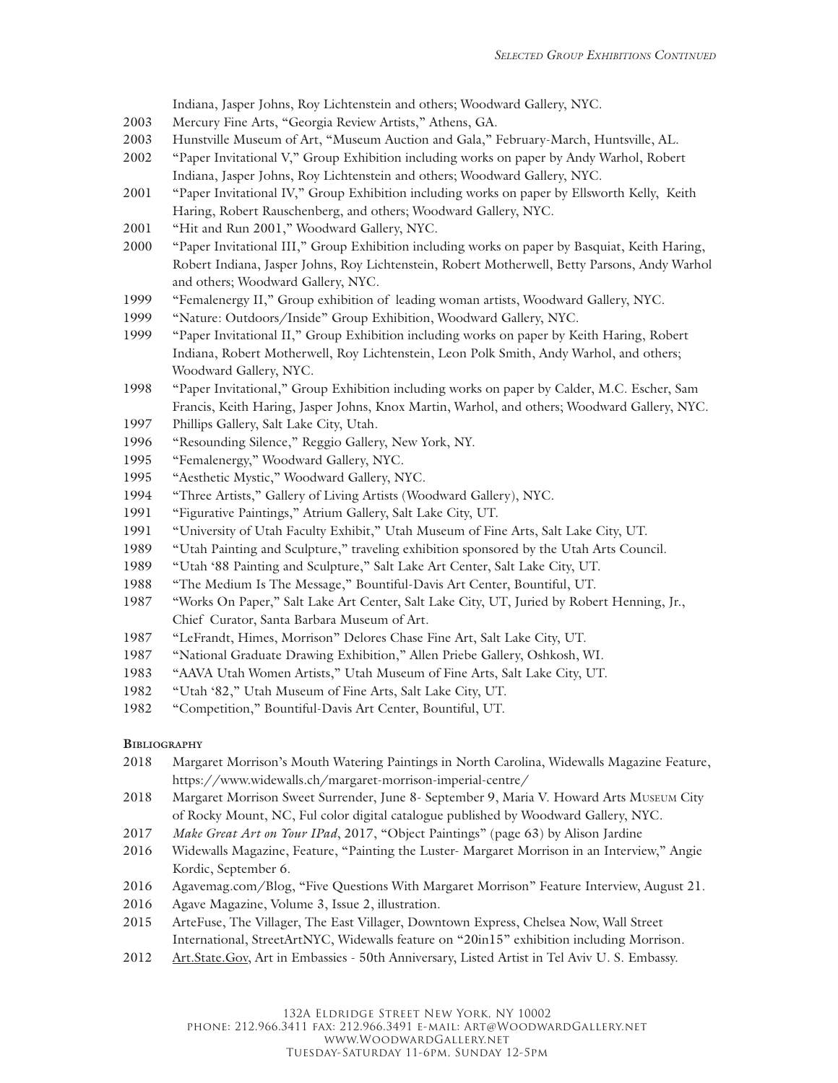Indiana, Jasper Johns, Roy Lichtenstein and others; Woodward Gallery, NYC.

- 2003 Mercury Fine Arts, "Georgia Review Artists," Athens, GA.
- 2003 Hunstville Museum of Art, "Museum Auction and Gala," February-March, Huntsville, AL.
- 2002 "Paper Invitational V," Group Exhibition including works on paper by Andy Warhol, Robert Indiana, Jasper Johns, Roy Lichtenstein and others; Woodward Gallery, NYC.
- 2001 "Paper Invitational IV," Group Exhibition including works on paper by Ellsworth Kelly, Keith Haring, Robert Rauschenberg, and others; Woodward Gallery, NYC.
- 2001 "Hit and Run 2001," Woodward Gallery, NYC.
- 2000 "Paper Invitational III," Group Exhibition including works on paper by Basquiat, Keith Haring, Robert Indiana, Jasper Johns, Roy Lichtenstein, Robert Motherwell, Betty Parsons, Andy Warhol and others; Woodward Gallery, NYC.
- 1999 "Femalenergy II," Group exhibition of leading woman artists, Woodward Gallery, NYC.
- 1999 "Nature: Outdoors/Inside" Group Exhibition, Woodward Gallery, NYC.
- 1999 "Paper Invitational II," Group Exhibition including works on paper by Keith Haring, Robert Indiana, Robert Motherwell, Roy Lichtenstein, Leon Polk Smith, Andy Warhol, and others; Woodward Gallery, NYC.
- 1998 "Paper Invitational," Group Exhibition including works on paper by Calder, M.C. Escher, Sam Francis, Keith Haring, Jasper Johns, Knox Martin, Warhol, and others; Woodward Gallery, NYC.
- 1997 Phillips Gallery, Salt Lake City, Utah.
- 1996 "Resounding Silence," Reggio Gallery, New York, NY.
- 1995 "Femalenergy," Woodward Gallery, NYC.
- 1995 "Aesthetic Mystic," Woodward Gallery, NYC.
- 1994 "Three Artists," Gallery of Living Artists (Woodward Gallery), NYC.
- 1991 "Figurative Paintings," Atrium Gallery, Salt Lake City, UT.
- 1991 "University of Utah Faculty Exhibit," Utah Museum of Fine Arts, Salt Lake City, UT.
- 1989 "Utah Painting and Sculpture," traveling exhibition sponsored by the Utah Arts Council.
- 1989 "Utah '88 Painting and Sculpture," Salt Lake Art Center, Salt Lake City, UT.
- 1988 "The Medium Is The Message," Bountiful-Davis Art Center, Bountiful, UT.
- 1987 "Works On Paper," Salt Lake Art Center, Salt Lake City, UT, Juried by Robert Henning, Jr., Chief Curator, Santa Barbara Museum of Art.
- 1987 "LeFrandt, Himes, Morrison" Delores Chase Fine Art, Salt Lake City, UT.
- 1987 "National Graduate Drawing Exhibition," Allen Priebe Gallery, Oshkosh, WI.
- 1983 "AAVA Utah Women Artists," Utah Museum of Fine Arts, Salt Lake City, UT.
- 1982 "Utah '82," Utah Museum of Fine Arts, Salt Lake City, UT.
- 1982 "Competition," Bountiful-Davis Art Center, Bountiful, UT.

### **Bibliography**

- 2018 Margaret Morrison's Mouth Watering Paintings in North Carolina, Widewalls Magazine Feature, https://www.widewalls.ch/margaret-morrison-imperial-centre/
- 2018 Margaret Morrison Sweet Surrender, June 8- September 9, Maria V. Howard Arts Museum City of Rocky Mount, NC, Ful color digital catalogue published by Woodward Gallery, NYC.
- 2017 *Make Great Art on Your IPad*, 2017, "Object Paintings" (page 63) by Alison Jardine
- 2016 Widewalls Magazine, Feature, "Painting the Luster- Margaret Morrison in an Interview," Angie Kordic, September 6.
- 2016 Agavemag.com/Blog, "Five Questions With Margaret Morrison" Feature Interview, August 21.
- 2016 Agave Magazine, Volume 3, Issue 2, illustration.
- 2015 ArteFuse, The Villager, The East Villager, Downtown Express, Chelsea Now, Wall Street International, StreetArtNYC, Widewalls feature on "20in15" exhibition including Morrison.
- 2012 Art.State.Gov, Art in Embassies 50th Anniversary, Listed Artist in Tel Aviv U. S. Embassy.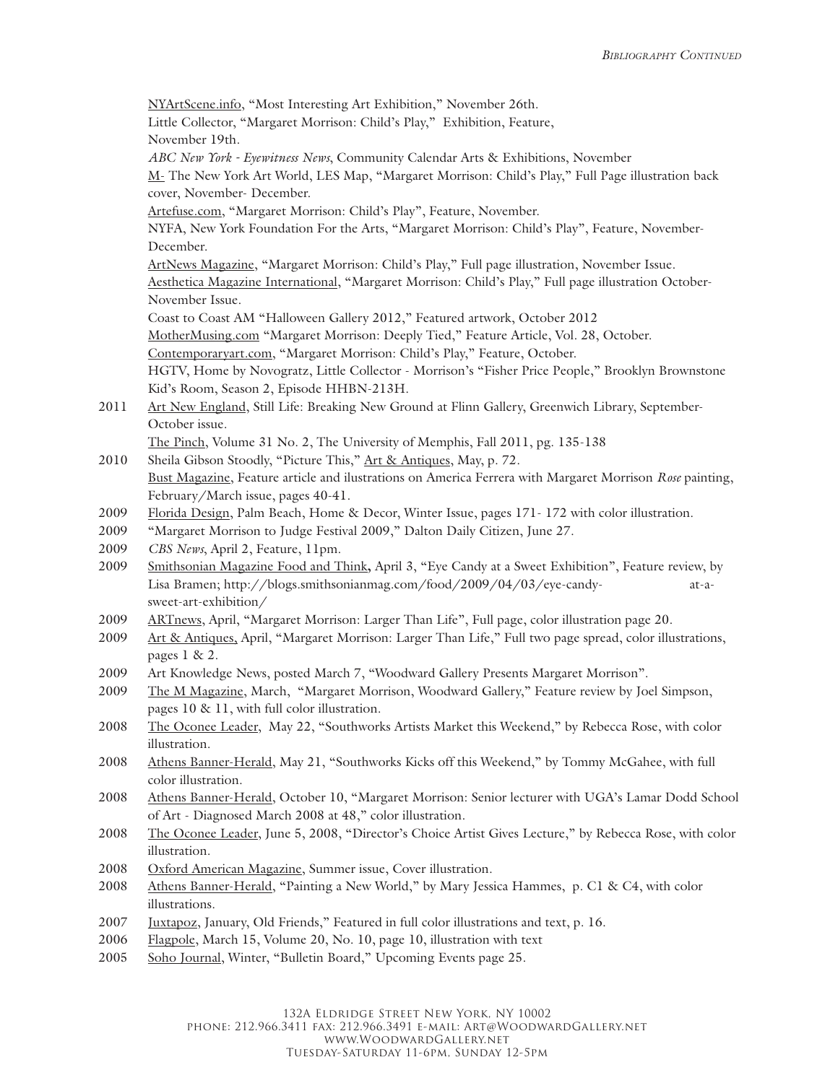NYArtScene.info, "Most Interesting Art Exhibition," November 26th. Little Collector, "Margaret Morrison: Child's Play," Exhibition, Feature, November 19th. *ABC New York - Eyewitness News*, Community Calendar Arts & Exhibitions, November M- The New York Art World, LES Map, "Margaret Morrison: Child's Play," Full Page illustration back cover, November- December. Artefuse.com, "Margaret Morrison: Child's Play", Feature, November. NYFA, New York Foundation For the Arts, "Margaret Morrison: Child's Play", Feature, November-December. ArtNews Magazine, "Margaret Morrison: Child's Play," Full page illustration, November Issue. Aesthetica Magazine International, "Margaret Morrison: Child's Play," Full page illustration October-November Issue. Coast to Coast AM "Halloween Gallery 2012," Featured artwork, October 2012 MotherMusing.com "Margaret Morrison: Deeply Tied," Feature Article, Vol. 28, October. Contemporaryart.com, "Margaret Morrison: Child's Play," Feature, October. HGTV, Home by Novogratz, Little Collector - Morrison's "Fisher Price People," Brooklyn Brownstone Kid's Room, Season 2, Episode HHBN-213H. 2011 Art New England, Still Life: Breaking New Ground at Flinn Gallery, Greenwich Library, September-October issue. The Pinch, Volume 31 No. 2, The University of Memphis, Fall 2011, pg. 135-138 2010 Sheila Gibson Stoodly, "Picture This," Art & Antiques, May, p. 72. Bust Magazine, Feature article and ilustrations on America Ferrera with Margaret Morrison *Rose* painting, February/March issue, pages 40-41. 2009 Florida Design, Palm Beach, Home & Decor, Winter Issue, pages 171- 172 with color illustration. 2009 "Margaret Morrison to Judge Festival 2009," Dalton Daily Citizen, June 27. 2009 *CBS News*, April 2, Feature, 11pm. 2009 Smithsonian Magazine Food and Think**,** April 3, "Eye Candy at a Sweet Exhibition", Feature review, by Lisa Bramen; http://blogs.smithsonianmag.com/food/2009/04/03/eye-candy- at-asweet-art-exhibition/ 2009 ARTnews, April, "Margaret Morrison: Larger Than Life", Full page, color illustration page 20. 2009 Art & Antiques, April, "Margaret Morrison: Larger Than Life," Full two page spread, color illustrations, pages 1 & 2. 2009 Art Knowledge News, posted March 7, "Woodward Gallery Presents Margaret Morrison". 2009 The M Magazine, March, "Margaret Morrison, Woodward Gallery," Feature review by Joel Simpson, pages 10 & 11, with full color illustration. 2008 The Oconee Leader, May 22, "Southworks Artists Market this Weekend," by Rebecca Rose, with color illustration. 2008 Athens Banner-Herald, May 21, "Southworks Kicks off this Weekend," by Tommy McGahee, with full color illustration. 2008 Athens Banner-Herald, October 10, "Margaret Morrison: Senior lecturer with UGA's Lamar Dodd School of Art - Diagnosed March 2008 at 48," color illustration. 2008 The Oconee Leader, June 5, 2008, "Director's Choice Artist Gives Lecture," by Rebecca Rose, with color illustration. 2008 Oxford American Magazine, Summer issue, Cover illustration. 2008 Athens Banner-Herald, "Painting a New World," by Mary Jessica Hammes, p. C1 & C4, with color illustrations. 2007 Juxtapoz, January, Old Friends," Featured in full color illustrations and text, p. 16. 2006 Flagpole, March 15, Volume 20, No. 10, page 10, illustration with text

2005 Soho Journal, Winter, "Bulletin Board," Upcoming Events page 25.